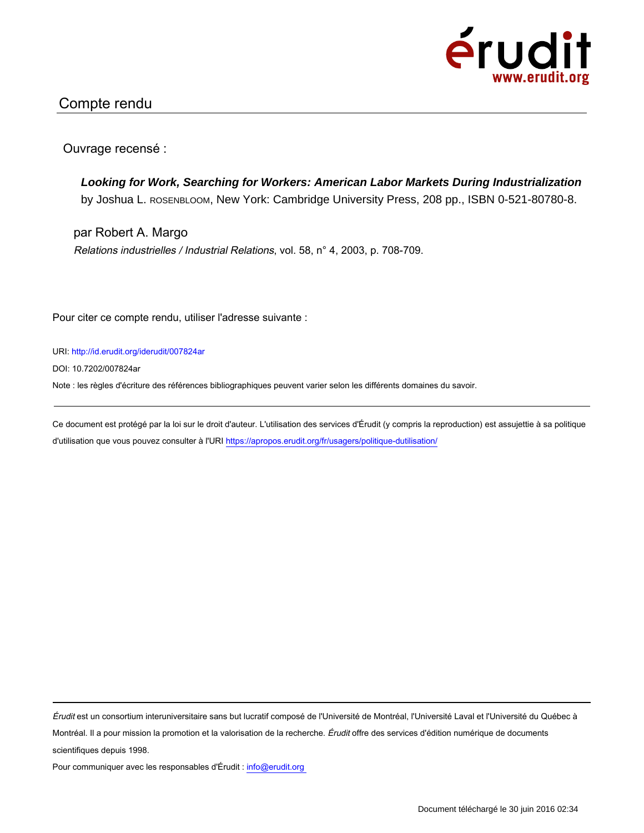

## Compte rendu

Ouvrage recensé :

**Looking for Work, Searching for Workers: American Labor Markets During Industrialization** by Joshua L. ROSENBLOOM, New York: Cambridge University Press, 208 pp., ISBN 0-521-80780-8.

par Robert A. Margo Relations industrielles / Industrial Relations, vol. 58, n° 4, 2003, p. 708-709.

Pour citer ce compte rendu, utiliser l'adresse suivante :

URI: http://id.erudit.org/iderudit/007824ar

DOI: 10.7202/007824ar

Note : les règles d'écriture des références bibliographiques peuvent varier selon les différents domaines du savoir.

Ce document est protégé par la loi sur le droit d'auteur. L'utilisation des services d'Érudit (y compris la reproduction) est assujettie à sa politique d'utilisation que vous pouvez consulter à l'URI https://apropos.erudit.org/fr/usagers/politique-dutilisation/

Érudit est un consortium interuniversitaire sans but lucratif composé de l'Université de Montréal, l'Université Laval et l'Université du Québec à Montréal. Il a pour mission la promotion et la valorisation de la recherche. Érudit offre des services d'édition numérique de documents scientifiques depuis 1998.

Pour communiquer avec les responsables d'Érudit : info@erudit.org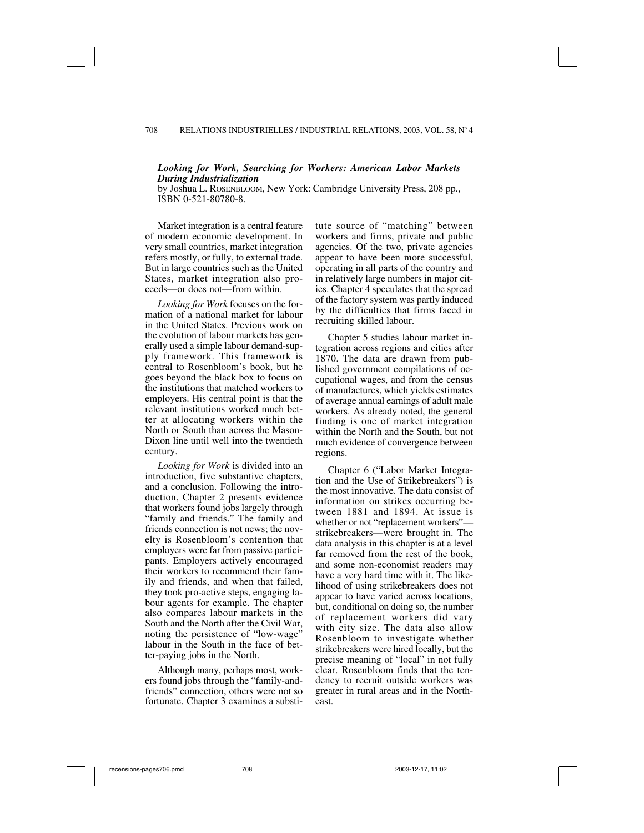## *Looking for Work, Searching for Workers: American Labor Markets During Industrialization*

by Joshua L. ROSENBLOOM, New York: Cambridge University Press, 208 pp., ISBN 0-521-80780-8.

Market integration is a central feature of modern economic development. In very small countries, market integration refers mostly, or fully, to external trade. But in large countries such as the United States, market integration also proceeds—or does not—from within.

*Looking for Work* focuses on the formation of a national market for labour in the United States. Previous work on the evolution of labour markets has generally used a simple labour demand-supply framework. This framework is central to Rosenbloom's book, but he goes beyond the black box to focus on the institutions that matched workers to employers. His central point is that the relevant institutions worked much better at allocating workers within the North or South than across the Mason-Dixon line until well into the twentieth century.

*Looking for Work* is divided into an introduction, five substantive chapters, and a conclusion. Following the introduction, Chapter 2 presents evidence that workers found jobs largely through "family and friends." The family and friends connection is not news; the novelty is Rosenbloom's contention that employers were far from passive participants. Employers actively encouraged their workers to recommend their family and friends, and when that failed, they took pro-active steps, engaging labour agents for example. The chapter also compares labour markets in the South and the North after the Civil War, noting the persistence of "low-wage" labour in the South in the face of better-paying jobs in the North.

Although many, perhaps most, workers found jobs through the "family-andfriends" connection, others were not so fortunate. Chapter 3 examines a substitute source of "matching" between workers and firms, private and public agencies. Of the two, private agencies appear to have been more successful, operating in all parts of the country and in relatively large numbers in major cities. Chapter 4 speculates that the spread of the factory system was partly induced by the difficulties that firms faced in recruiting skilled labour.

Chapter 5 studies labour market integration across regions and cities after 1870. The data are drawn from published government compilations of occupational wages, and from the census of manufactures, which yields estimates of average annual earnings of adult male workers. As already noted, the general finding is one of market integration within the North and the South, but not much evidence of convergence between regions.

Chapter 6 ("Labor Market Integration and the Use of Strikebreakers") is the most innovative. The data consist of information on strikes occurring between 1881 and 1894. At issue is whether or not "replacement workers" strikebreakers—were brought in. The data analysis in this chapter is at a level far removed from the rest of the book, and some non-economist readers may have a very hard time with it. The likelihood of using strikebreakers does not appear to have varied across locations, but, conditional on doing so, the number of replacement workers did vary with city size. The data also allow Rosenbloom to investigate whether strikebreakers were hired locally, but the precise meaning of "local" in not fully clear. Rosenbloom finds that the tendency to recruit outside workers was greater in rural areas and in the Northeast.